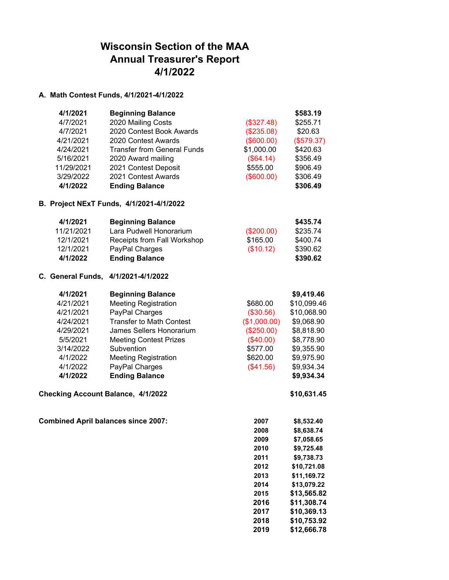## **Wisconsin Section of the MAA Annual Treasurer's Report 4/1/2022**

## **A. Math Contest Funds, 4/1/2021-4/1/2022**

| 4/1/2021   | <b>Beginning Balance</b>           |            | \$583.19   |
|------------|------------------------------------|------------|------------|
| 4/7/2021   | 2020 Mailing Costs                 | (\$327.48) | \$255.71   |
| 4/7/2021   | 2020 Contest Book Awards           | (\$235.08) | \$20.63    |
| 4/21/2021  | 2020 Contest Awards                | (\$600.00) | (\$579.37) |
| 4/24/2021  | <b>Transfer from General Funds</b> | \$1,000.00 | \$420.63   |
| 5/16/2021  | 2020 Award mailing                 | (\$64.14)  | \$356.49   |
| 11/29/2021 | 2021 Contest Deposit               | \$555.00   | \$906.49   |
| 3/29/2022  | 2021 Contest Awards                | (\$600.00) | \$306.49   |
| 4/1/2022   | <b>Ending Balance</b>              |            | \$306.49   |

## **B. Project NExT Funds, 4/1/2021-4/1/2022**

| 4/1/2021   | <b>Beginning Balance</b>    |            | \$435.74 |
|------------|-----------------------------|------------|----------|
| 11/21/2021 | Lara Pudwell Honorarium     | (\$200.00) | \$235.74 |
| 12/1/2021  | Receipts from Fall Workshop | \$165.00   | \$400.74 |
| 12/1/2021  | PayPal Charges              | (\$10.12)  | \$390.62 |
| 4/1/2022   | <b>Ending Balance</b>       |            | \$390.62 |

## **C. General Funds, 4/1/2021-4/1/2022**

| 4/1/2021  | <b>Beginning Balance</b>        |              | \$9,419.46  |
|-----------|---------------------------------|--------------|-------------|
| 4/21/2021 | <b>Meeting Registration</b>     | \$680.00     | \$10,099.46 |
| 4/21/2021 | PayPal Charges                  | (\$30.56)    | \$10,068.90 |
| 4/24/2021 | <b>Transfer to Math Contest</b> | (\$1,000.00) | \$9,068.90  |
| 4/29/2021 | James Sellers Honorarium        | (\$250.00)   | \$8,818.90  |
| 5/5/2021  | <b>Meeting Contest Prizes</b>   | (\$40.00)    | \$8,778.90  |
| 3/14/2022 | Subvention                      | \$577.00     | \$9,355.90  |
| 4/1/2022  | <b>Meeting Registration</b>     | \$620.00     | \$9,975.90  |
| 4/1/2022  | PayPal Charges                  | (\$41.56)    | \$9,934.34  |
| 4/1/2022  | <b>Ending Balance</b>           |              | \$9,934.34  |

**Checking Account Balance, 4/1/2022 \$10,631.45**

**Combined April balances since 2007:** 

| 2007 | \$8,532.40  |
|------|-------------|
| 2008 | \$8,638.74  |
| 2009 | \$7.058.65  |
| 2010 | \$9.725.48  |
| 2011 | \$9.738.73  |
| 2012 | \$10,721.08 |
| 2013 | \$11,169.72 |
| 2014 | \$13,079.22 |
| 2015 | \$13.565.82 |
| 2016 | \$11.308.74 |
| 2017 | \$10,369.13 |
| 2018 | \$10,753.92 |
| 2019 | \$12.666.78 |
|      |             |